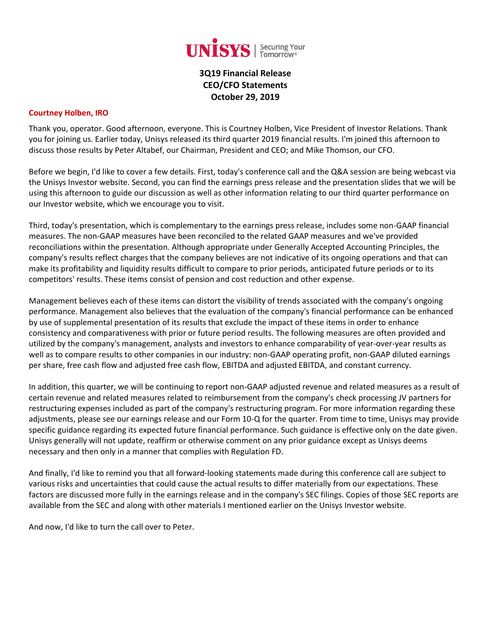

**3Q19 Financial Release CEO/CFO Statements October 29, 2019**

#### **Courtney Holben, IRO**

Thank you, operator. Good afternoon, everyone. This is Courtney Holben, Vice President of Investor Relations. Thank you for joining us. Earlier today, Unisys released its third quarter 2019 financial results. I'm joined this afternoon to discuss those results by Peter Altabef, our Chairman, President and CEO; and Mike Thomson, our CFO.

Before we begin, I'd like to cover a few details. First, today's conference call and the Q&A session are being webcast via the Unisys Investor website. Second, you can find the earnings press release and the presentation slides that we will be using this afternoon to guide our discussion as well as other information relating to our third quarter performance on our Investor website, which we encourage you to visit.

Third, today's presentation, which is complementary to the earnings press release, includes some non-GAAP financial measures. The non-GAAP measures have been reconciled to the related GAAP measures and we've provided reconciliations within the presentation. Although appropriate under Generally Accepted Accounting Principles, the company's results reflect charges that the company believes are not indicative of its ongoing operations and that can make its profitability and liquidity results difficult to compare to prior periods, anticipated future periods or to its competitors' results. These items consist of pension and cost reduction and other expense.

Management believes each of these items can distort the visibility of trends associated with the company's ongoing performance. Management also believes that the evaluation of the company's financial performance can be enhanced by use of supplemental presentation of its results that exclude the impact of these items in order to enhance consistency and comparativeness with prior or future period results. The following measures are often provided and utilized by the company's management, analysts and investors to enhance comparability of year-over-year results as well as to compare results to other companies in our industry: non-GAAP operating profit, non-GAAP diluted earnings per share, free cash flow and adjusted free cash flow, EBITDA and adjusted EBITDA, and constant currency.

In addition, this quarter, we will be continuing to report non-GAAP adjusted revenue and related measures as a result of certain revenue and related measures related to reimbursement from the company's check processing JV partners for restructuring expenses included as part of the company's restructuring program. For more information regarding these adjustments, please see our earnings release and our Form 10-Q for the quarter. From time to time, Unisys may provide specific guidance regarding its expected future financial performance. Such guidance is effective only on the date given. Unisys generally will not update, reaffirm or otherwise comment on any prior guidance except as Unisys deems necessary and then only in a manner that complies with Regulation FD.

And finally, I'd like to remind you that all forward-looking statements made during this conference call are subject to various risks and uncertainties that could cause the actual results to differ materially from our expectations. These factors are discussed more fully in the earnings release and in the company's SEC filings. Copies of those SEC reports are available from the SEC and along with other materials I mentioned earlier on the Unisys Investor website.

And now, I'd like to turn the call over to Peter.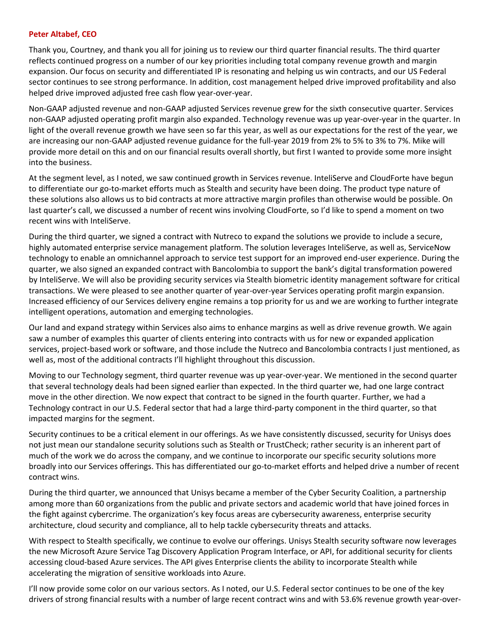#### **Peter Altabef, CEO**

Thank you, Courtney, and thank you all for joining us to review our third quarter financial results. The third quarter reflects continued progress on a number of our key priorities including total company revenue growth and margin expansion. Our focus on security and differentiated IP is resonating and helping us win contracts, and our US Federal sector continues to see strong performance. In addition, cost management helped drive improved profitability and also helped drive improved adjusted free cash flow year-over-year.

Non-GAAP adjusted revenue and non-GAAP adjusted Services revenue grew for the sixth consecutive quarter. Services non-GAAP adjusted operating profit margin also expanded. Technology revenue was up year-over-year in the quarter. In light of the overall revenue growth we have seen so far this year, as well as our expectations for the rest of the year, we are increasing our non-GAAP adjusted revenue guidance for the full-year 2019 from 2% to 5% to 3% to 7%. Mike will provide more detail on this and on our financial results overall shortly, but first I wanted to provide some more insight into the business.

At the segment level, as I noted, we saw continued growth in Services revenue. InteliServe and CloudForte have begun to differentiate our go-to-market efforts much as Stealth and security have been doing. The product type nature of these solutions also allows us to bid contracts at more attractive margin profiles than otherwise would be possible. On last quarter's call, we discussed a number of recent wins involving CloudForte, so I'd like to spend a moment on two recent wins with InteliServe.

During the third quarter, we signed a contract with Nutreco to expand the solutions we provide to include a secure, highly automated enterprise service management platform. The solution leverages InteliServe, as well as, ServiceNow technology to enable an omnichannel approach to service test support for an improved end-user experience. During the quarter, we also signed an expanded contract with Bancolombia to support the bank's digital transformation powered by InteliServe. We will also be providing security services via Stealth biometric identity management software for critical transactions. We were pleased to see another quarter of year-over-year Services operating profit margin expansion. Increased efficiency of our Services delivery engine remains a top priority for us and we are working to further integrate intelligent operations, automation and emerging technologies.

Our land and expand strategy within Services also aims to enhance margins as well as drive revenue growth. We again saw a number of examples this quarter of clients entering into contracts with us for new or expanded application services, project-based work or software, and those include the Nutreco and Bancolombia contracts I just mentioned, as well as, most of the additional contracts I'll highlight throughout this discussion.

Moving to our Technology segment, third quarter revenue was up year-over-year. We mentioned in the second quarter that several technology deals had been signed earlier than expected. In the third quarter we, had one large contract move in the other direction. We now expect that contract to be signed in the fourth quarter. Further, we had a Technology contract in our U.S. Federal sector that had a large third-party component in the third quarter, so that impacted margins for the segment.

Security continues to be a critical element in our offerings. As we have consistently discussed, security for Unisys does not just mean our standalone security solutions such as Stealth or TrustCheck; rather security is an inherent part of much of the work we do across the company, and we continue to incorporate our specific security solutions more broadly into our Services offerings. This has differentiated our go-to-market efforts and helped drive a number of recent contract wins.

During the third quarter, we announced that Unisys became a member of the Cyber Security Coalition, a partnership among more than 60 organizations from the public and private sectors and academic world that have joined forces in the fight against cybercrime. The organization's key focus areas are cybersecurity awareness, enterprise security architecture, cloud security and compliance, all to help tackle cybersecurity threats and attacks.

With respect to Stealth specifically, we continue to evolve our offerings. Unisys Stealth security software now leverages the new Microsoft Azure Service Tag Discovery Application Program Interface, or API, for additional security for clients accessing cloud-based Azure services. The API gives Enterprise clients the ability to incorporate Stealth while accelerating the migration of sensitive workloads into Azure.

I'll now provide some color on our various sectors. As I noted, our U.S. Federal sector continues to be one of the key drivers of strong financial results with a number of large recent contract wins and with 53.6% revenue growth year-over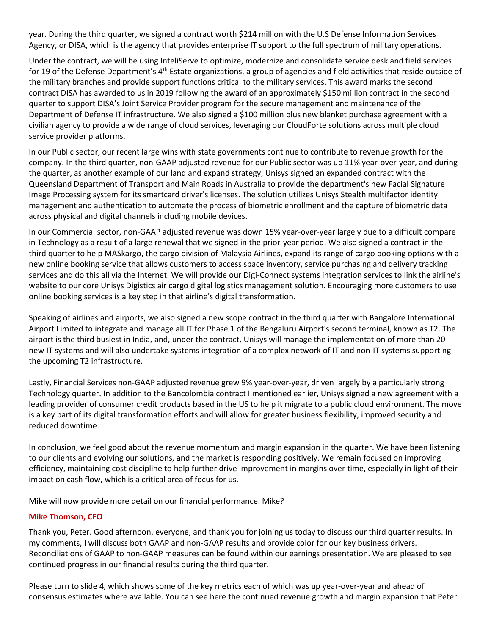year. During the third quarter, we signed a contract worth \$214 million with the U.S Defense Information Services Agency, or DISA, which is the agency that provides enterprise IT support to the full spectrum of military operations.

Under the contract, we will be using InteliServe to optimize, modernize and consolidate service desk and field services for 19 of the Defense Department's 4<sup>th</sup> Estate organizations, a group of agencies and field activities that reside outside of the military branches and provide support functions critical to the military services. This award marks the second contract DISA has awarded to us in 2019 following the award of an approximately \$150 million contract in the second quarter to support DISA's Joint Service Provider program for the secure management and maintenance of the Department of Defense IT infrastructure. We also signed a \$100 million plus new blanket purchase agreement with a civilian agency to provide a wide range of cloud services, leveraging our CloudForte solutions across multiple cloud service provider platforms.

In our Public sector, our recent large wins with state governments continue to contribute to revenue growth for the company. In the third quarter, non-GAAP adjusted revenue for our Public sector was up 11% year-over-year, and during the quarter, as another example of our land and expand strategy, Unisys signed an expanded contract with the Queensland Department of Transport and Main Roads in Australia to provide the department's new Facial Signature Image Processing system for its smartcard driver's licenses. The solution utilizes Unisys Stealth multifactor identity management and authentication to automate the process of biometric enrollment and the capture of biometric data across physical and digital channels including mobile devices.

In our Commercial sector, non-GAAP adjusted revenue was down 15% year-over-year largely due to a difficult compare in Technology as a result of a large renewal that we signed in the prior-year period. We also signed a contract in the third quarter to help MASkargo, the cargo division of Malaysia Airlines, expand its range of cargo booking options with a new online booking service that allows customers to access space inventory, service purchasing and delivery tracking services and do this all via the Internet. We will provide our Digi-Connect systems integration services to link the airline's website to our core Unisys Digistics air cargo digital logistics management solution. Encouraging more customers to use online booking services is a key step in that airline's digital transformation.

Speaking of airlines and airports, we also signed a new scope contract in the third quarter with Bangalore International Airport Limited to integrate and manage all IT for Phase 1 of the Bengaluru Airport's second terminal, known as T2. The airport is the third busiest in India, and, under the contract, Unisys will manage the implementation of more than 20 new IT systems and will also undertake systems integration of a complex network of IT and non-IT systems supporting the upcoming T2 infrastructure.

Lastly, Financial Services non-GAAP adjusted revenue grew 9% year-over-year, driven largely by a particularly strong Technology quarter. In addition to the Bancolombia contract I mentioned earlier, Unisys signed a new agreement with a leading provider of consumer credit products based in the US to help it migrate to a public cloud environment. The move is a key part of its digital transformation efforts and will allow for greater business flexibility, improved security and reduced downtime.

In conclusion, we feel good about the revenue momentum and margin expansion in the quarter. We have been listening to our clients and evolving our solutions, and the market is responding positively. We remain focused on improving efficiency, maintaining cost discipline to help further drive improvement in margins over time, especially in light of their impact on cash flow, which is a critical area of focus for us.

Mike will now provide more detail on our financial performance. Mike?

#### **Mike Thomson, CFO**

Thank you, Peter. Good afternoon, everyone, and thank you for joining us today to discuss our third quarter results. In my comments, I will discuss both GAAP and non-GAAP results and provide color for our key business drivers. Reconciliations of GAAP to non-GAAP measures can be found within our earnings presentation. We are pleased to see continued progress in our financial results during the third quarter.

Please turn to slide 4, which shows some of the key metrics each of which was up year-over-year and ahead of consensus estimates where available. You can see here the continued revenue growth and margin expansion that Peter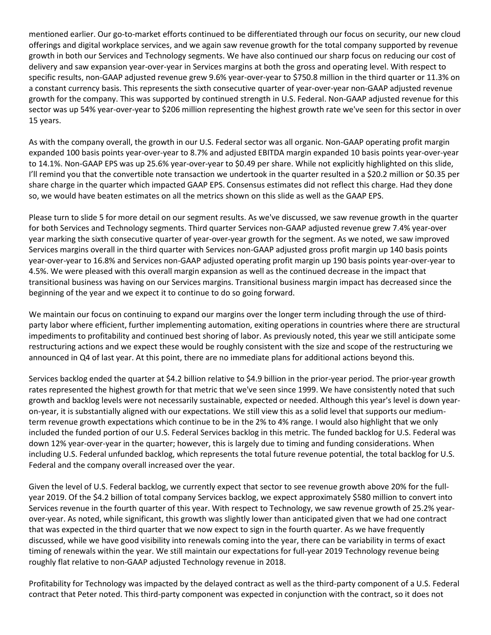mentioned earlier. Our go-to-market efforts continued to be differentiated through our focus on security, our new cloud offerings and digital workplace services, and we again saw revenue growth for the total company supported by revenue growth in both our Services and Technology segments. We have also continued our sharp focus on reducing our cost of delivery and saw expansion year-over-year in Services margins at both the gross and operating level. With respect to specific results, non-GAAP adjusted revenue grew 9.6% year-over-year to \$750.8 million in the third quarter or 11.3% on a constant currency basis. This represents the sixth consecutive quarter of year-over-year non-GAAP adjusted revenue growth for the company. This was supported by continued strength in U.S. Federal. Non-GAAP adjusted revenue for this sector was up 54% year-over-year to \$206 million representing the highest growth rate we've seen for this sector in over 15 years.

As with the company overall, the growth in our U.S. Federal sector was all organic. Non-GAAP operating profit margin expanded 100 basis points year-over-year to 8.7% and adjusted EBITDA margin expanded 10 basis points year-over-year to 14.1%. Non-GAAP EPS was up 25.6% year-over-year to \$0.49 per share. While not explicitly highlighted on this slide, I'll remind you that the convertible note transaction we undertook in the quarter resulted in a \$20.2 million or \$0.35 per share charge in the quarter which impacted GAAP EPS. Consensus estimates did not reflect this charge. Had they done so, we would have beaten estimates on all the metrics shown on this slide as well as the GAAP EPS.

Please turn to slide 5 for more detail on our segment results. As we've discussed, we saw revenue growth in the quarter for both Services and Technology segments. Third quarter Services non-GAAP adjusted revenue grew 7.4% year-over year marking the sixth consecutive quarter of year-over-year growth for the segment. As we noted, we saw improved Services margins overall in the third quarter with Services non-GAAP adjusted gross profit margin up 140 basis points year-over-year to 16.8% and Services non-GAAP adjusted operating profit margin up 190 basis points year-over-year to 4.5%. We were pleased with this overall margin expansion as well as the continued decrease in the impact that transitional business was having on our Services margins. Transitional business margin impact has decreased since the beginning of the year and we expect it to continue to do so going forward.

We maintain our focus on continuing to expand our margins over the longer term including through the use of thirdparty labor where efficient, further implementing automation, exiting operations in countries where there are structural impediments to profitability and continued best shoring of labor. As previously noted, this year we still anticipate some restructuring actions and we expect these would be roughly consistent with the size and scope of the restructuring we announced in Q4 of last year. At this point, there are no immediate plans for additional actions beyond this.

Services backlog ended the quarter at \$4.2 billion relative to \$4.9 billion in the prior-year period. The prior-year growth rates represented the highest growth for that metric that we've seen since 1999. We have consistently noted that such growth and backlog levels were not necessarily sustainable, expected or needed. Although this year's level is down yearon-year, it is substantially aligned with our expectations. We still view this as a solid level that supports our mediumterm revenue growth expectations which continue to be in the 2% to 4% range. I would also highlight that we only included the funded portion of our U.S. Federal Services backlog in this metric. The funded backlog for U.S. Federal was down 12% year-over-year in the quarter; however, this is largely due to timing and funding considerations. When including U.S. Federal unfunded backlog, which represents the total future revenue potential, the total backlog for U.S. Federal and the company overall increased over the year.

Given the level of U.S. Federal backlog, we currently expect that sector to see revenue growth above 20% for the fullyear 2019. Of the \$4.2 billion of total company Services backlog, we expect approximately \$580 million to convert into Services revenue in the fourth quarter of this year. With respect to Technology, we saw revenue growth of 25.2% yearover-year. As noted, while significant, this growth was slightly lower than anticipated given that we had one contract that was expected in the third quarter that we now expect to sign in the fourth quarter. As we have frequently discussed, while we have good visibility into renewals coming into the year, there can be variability in terms of exact timing of renewals within the year. We still maintain our expectations for full-year 2019 Technology revenue being roughly flat relative to non-GAAP adjusted Technology revenue in 2018.

Profitability for Technology was impacted by the delayed contract as well as the third-party component of a U.S. Federal contract that Peter noted. This third-party component was expected in conjunction with the contract, so it does not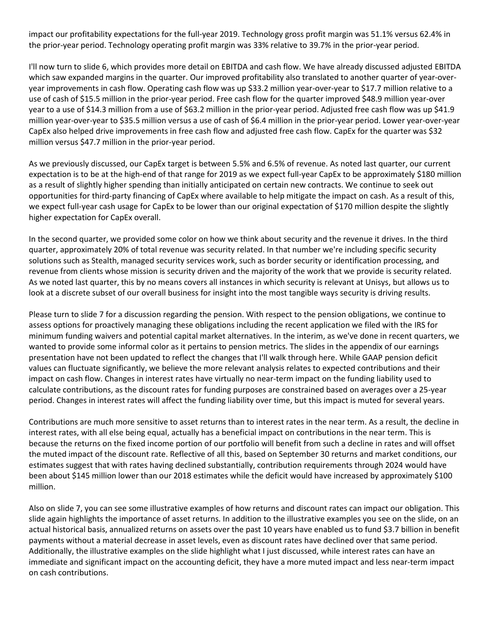impact our profitability expectations for the full-year 2019. Technology gross profit margin was 51.1% versus 62.4% in the prior-year period. Technology operating profit margin was 33% relative to 39.7% in the prior-year period.

I'll now turn to slide 6, which provides more detail on EBITDA and cash flow. We have already discussed adjusted EBITDA which saw expanded margins in the quarter. Our improved profitability also translated to another quarter of year-overyear improvements in cash flow. Operating cash flow was up \$33.2 million year-over-year to \$17.7 million relative to a use of cash of \$15.5 million in the prior-year period. Free cash flow for the quarter improved \$48.9 million year-over year to a use of \$14.3 million from a use of \$63.2 million in the prior-year period. Adjusted free cash flow was up \$41.9 million year-over-year to \$35.5 million versus a use of cash of \$6.4 million in the prior-year period. Lower year-over-year CapEx also helped drive improvements in free cash flow and adjusted free cash flow. CapEx for the quarter was \$32 million versus \$47.7 million in the prior-year period.

As we previously discussed, our CapEx target is between 5.5% and 6.5% of revenue. As noted last quarter, our current expectation is to be at the high-end of that range for 2019 as we expect full-year CapEx to be approximately \$180 million as a result of slightly higher spending than initially anticipated on certain new contracts. We continue to seek out opportunities for third-party financing of CapEx where available to help mitigate the impact on cash. As a result of this, we expect full-year cash usage for CapEx to be lower than our original expectation of \$170 million despite the slightly higher expectation for CapEx overall.

In the second quarter, we provided some color on how we think about security and the revenue it drives. In the third quarter, approximately 20% of total revenue was security related. In that number we're including specific security solutions such as Stealth, managed security services work, such as border security or identification processing, and revenue from clients whose mission is security driven and the majority of the work that we provide is security related. As we noted last quarter, this by no means covers all instances in which security is relevant at Unisys, but allows us to look at a discrete subset of our overall business for insight into the most tangible ways security is driving results.

Please turn to slide 7 for a discussion regarding the pension. With respect to the pension obligations, we continue to assess options for proactively managing these obligations including the recent application we filed with the IRS for minimum funding waivers and potential capital market alternatives. In the interim, as we've done in recent quarters, we wanted to provide some informal color as it pertains to pension metrics. The slides in the appendix of our earnings presentation have not been updated to reflect the changes that I'll walk through here. While GAAP pension deficit values can fluctuate significantly, we believe the more relevant analysis relates to expected contributions and their impact on cash flow. Changes in interest rates have virtually no near-term impact on the funding liability used to calculate contributions, as the discount rates for funding purposes are constrained based on averages over a 25-year period. Changes in interest rates will affect the funding liability over time, but this impact is muted for several years.

Contributions are much more sensitive to asset returns than to interest rates in the near term. As a result, the decline in interest rates, with all else being equal, actually has a beneficial impact on contributions in the near term. This is because the returns on the fixed income portion of our portfolio will benefit from such a decline in rates and will offset the muted impact of the discount rate. Reflective of all this, based on September 30 returns and market conditions, our estimates suggest that with rates having declined substantially, contribution requirements through 2024 would have been about \$145 million lower than our 2018 estimates while the deficit would have increased by approximately \$100 million.

Also on slide 7, you can see some illustrative examples of how returns and discount rates can impact our obligation. This slide again highlights the importance of asset returns. In addition to the illustrative examples you see on the slide, on an actual historical basis, annualized returns on assets over the past 10 years have enabled us to fund \$3.7 billion in benefit payments without a material decrease in asset levels, even as discount rates have declined over that same period. Additionally, the illustrative examples on the slide highlight what I just discussed, while interest rates can have an immediate and significant impact on the accounting deficit, they have a more muted impact and less near-term impact on cash contributions.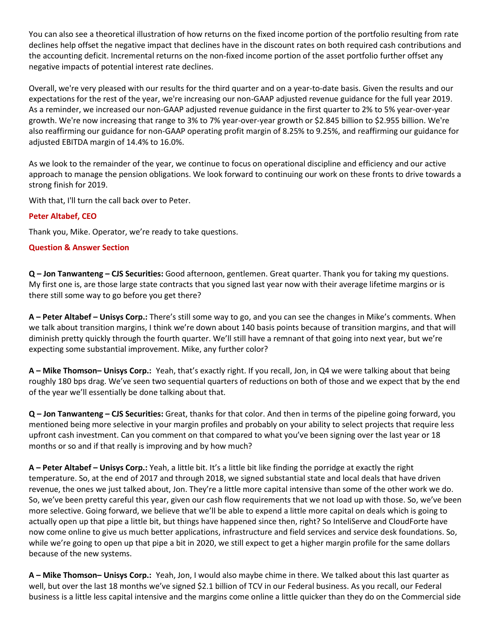You can also see a theoretical illustration of how returns on the fixed income portion of the portfolio resulting from rate declines help offset the negative impact that declines have in the discount rates on both required cash contributions and the accounting deficit. Incremental returns on the non-fixed income portion of the asset portfolio further offset any negative impacts of potential interest rate declines.

Overall, we're very pleased with our results for the third quarter and on a year-to-date basis. Given the results and our expectations for the rest of the year, we're increasing our non-GAAP adjusted revenue guidance for the full year 2019. As a reminder, we increased our non-GAAP adjusted revenue guidance in the first quarter to 2% to 5% year-over-year growth. We're now increasing that range to 3% to 7% year-over-year growth or \$2.845 billion to \$2.955 billion. We're also reaffirming our guidance for non-GAAP operating profit margin of 8.25% to 9.25%, and reaffirming our guidance for adjusted EBITDA margin of 14.4% to 16.0%.

As we look to the remainder of the year, we continue to focus on operational discipline and efficiency and our active approach to manage the pension obligations. We look forward to continuing our work on these fronts to drive towards a strong finish for 2019.

With that, I'll turn the call back over to Peter.

# **Peter Altabef, CEO**

Thank you, Mike. Operator, we're ready to take questions.

# **Question & Answer Section**

**Q – Jon Tanwanteng – CJS Securities:** Good afternoon, gentlemen. Great quarter. Thank you for taking my questions. My first one is, are those large state contracts that you signed last year now with their average lifetime margins or is there still some way to go before you get there?

**A – Peter Altabef – Unisys Corp.:** There's still some way to go, and you can see the changes in Mike's comments. When we talk about transition margins, I think we're down about 140 basis points because of transition margins, and that will diminish pretty quickly through the fourth quarter. We'll still have a remnant of that going into next year, but we're expecting some substantial improvement. Mike, any further color?

**A – Mike Thomson– Unisys Corp.:** Yeah, that's exactly right. If you recall, Jon, in Q4 we were talking about that being roughly 180 bps drag. We've seen two sequential quarters of reductions on both of those and we expect that by the end of the year we'll essentially be done talking about that.

**Q – Jon Tanwanteng – CJS Securities:** Great, thanks for that color. And then in terms of the pipeline going forward, you mentioned being more selective in your margin profiles and probably on your ability to select projects that require less upfront cash investment. Can you comment on that compared to what you've been signing over the last year or 18 months or so and if that really is improving and by how much?

**A – Peter Altabef – Unisys Corp.:** Yeah, a little bit. It's a little bit like finding the porridge at exactly the right temperature. So, at the end of 2017 and through 2018, we signed substantial state and local deals that have driven revenue, the ones we just talked about, Jon. They're a little more capital intensive than some of the other work we do. So, we've been pretty careful this year, given our cash flow requirements that we not load up with those. So, we've been more selective. Going forward, we believe that we'll be able to expend a little more capital on deals which is going to actually open up that pipe a little bit, but things have happened since then, right? So InteliServe and CloudForte have now come online to give us much better applications, infrastructure and field services and service desk foundations. So, while we're going to open up that pipe a bit in 2020, we still expect to get a higher margin profile for the same dollars because of the new systems.

**A – Mike Thomson– Unisys Corp.:** Yeah, Jon, I would also maybe chime in there. We talked about this last quarter as well, but over the last 18 months we've signed \$2.1 billion of TCV in our Federal business. As you recall, our Federal business is a little less capital intensive and the margins come online a little quicker than they do on the Commercial side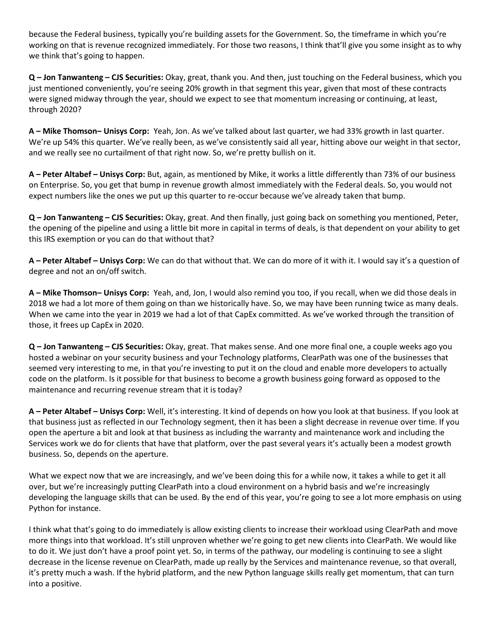because the Federal business, typically you're building assets for the Government. So, the timeframe in which you're working on that is revenue recognized immediately. For those two reasons, I think that'll give you some insight as to why we think that's going to happen.

**Q – Jon Tanwanteng – CJS Securities:** Okay, great, thank you. And then, just touching on the Federal business, which you just mentioned conveniently, you're seeing 20% growth in that segment this year, given that most of these contracts were signed midway through the year, should we expect to see that momentum increasing or continuing, at least, through 2020?

**A – Mike Thomson– Unisys Corp:** Yeah, Jon. As we've talked about last quarter, we had 33% growth in last quarter. We're up 54% this quarter. We've really been, as we've consistently said all year, hitting above our weight in that sector, and we really see no curtailment of that right now. So, we're pretty bullish on it.

**A – Peter Altabef – Unisys Corp:** But, again, as mentioned by Mike, it works a little differently than 73% of our business on Enterprise. So, you get that bump in revenue growth almost immediately with the Federal deals. So, you would not expect numbers like the ones we put up this quarter to re-occur because we've already taken that bump.

**Q – Jon Tanwanteng – CJS Securities:** Okay, great. And then finally, just going back on something you mentioned, Peter, the opening of the pipeline and using a little bit more in capital in terms of deals, is that dependent on your ability to get this IRS exemption or you can do that without that?

**A – Peter Altabef – Unisys Corp:** We can do that without that. We can do more of it with it. I would say it's a question of degree and not an on/off switch.

**A – Mike Thomson– Unisys Corp:** Yeah, and, Jon, I would also remind you too, if you recall, when we did those deals in 2018 we had a lot more of them going on than we historically have. So, we may have been running twice as many deals. When we came into the year in 2019 we had a lot of that CapEx committed. As we've worked through the transition of those, it frees up CapEx in 2020.

**Q – Jon Tanwanteng – CJS Securities:** Okay, great. That makes sense. And one more final one, a couple weeks ago you hosted a webinar on your security business and your Technology platforms, ClearPath was one of the businesses that seemed very interesting to me, in that you're investing to put it on the cloud and enable more developers to actually code on the platform. Is it possible for that business to become a growth business going forward as opposed to the maintenance and recurring revenue stream that it is today?

**A – Peter Altabef – Unisys Corp:** Well, it's interesting. It kind of depends on how you look at that business. If you look at that business just as reflected in our Technology segment, then it has been a slight decrease in revenue over time. If you open the aperture a bit and look at that business as including the warranty and maintenance work and including the Services work we do for clients that have that platform, over the past several years it's actually been a modest growth business. So, depends on the aperture.

What we expect now that we are increasingly, and we've been doing this for a while now, it takes a while to get it all over, but we're increasingly putting ClearPath into a cloud environment on a hybrid basis and we're increasingly developing the language skills that can be used. By the end of this year, you're going to see a lot more emphasis on using Python for instance.

I think what that's going to do immediately is allow existing clients to increase their workload using ClearPath and move more things into that workload. It's still unproven whether we're going to get new clients into ClearPath. We would like to do it. We just don't have a proof point yet. So, in terms of the pathway, our modeling is continuing to see a slight decrease in the license revenue on ClearPath, made up really by the Services and maintenance revenue, so that overall, it's pretty much a wash. If the hybrid platform, and the new Python language skills really get momentum, that can turn into a positive.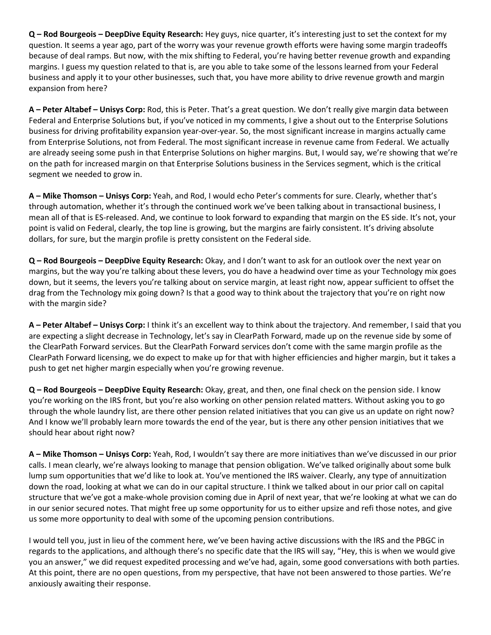**Q – Rod Bourgeois – DeepDive Equity Research:** Hey guys, nice quarter, it's interesting just to set the context for my question. It seems a year ago, part of the worry was your revenue growth efforts were having some margin tradeoffs because of deal ramps. But now, with the mix shifting to Federal, you're having better revenue growth and expanding margins. I guess my question related to that is, are you able to take some of the lessons learned from your Federal business and apply it to your other businesses, such that, you have more ability to drive revenue growth and margin expansion from here?

**A – Peter Altabef – Unisys Corp:** Rod, this is Peter. That's a great question. We don't really give margin data between Federal and Enterprise Solutions but, if you've noticed in my comments, I give a shout out to the Enterprise Solutions business for driving profitability expansion year-over-year. So, the most significant increase in margins actually came from Enterprise Solutions, not from Federal. The most significant increase in revenue came from Federal. We actually are already seeing some push in that Enterprise Solutions on higher margins. But, I would say, we're showing that we're on the path for increased margin on that Enterprise Solutions business in the Services segment, which is the critical segment we needed to grow in.

**A – Mike Thomson – Unisys Corp:** Yeah, and Rod, I would echo Peter's comments for sure. Clearly, whether that's through automation, whether it's through the continued work we've been talking about in transactional business, I mean all of that is ES-released. And, we continue to look forward to expanding that margin on the ES side. It's not, your point is valid on Federal, clearly, the top line is growing, but the margins are fairly consistent. It's driving absolute dollars, for sure, but the margin profile is pretty consistent on the Federal side.

**Q – Rod Bourgeois – DeepDive Equity Research:** Okay, and I don't want to ask for an outlook over the next year on margins, but the way you're talking about these levers, you do have a headwind over time as your Technology mix goes down, but it seems, the levers you're talking about on service margin, at least right now, appear sufficient to offset the drag from the Technology mix going down? Is that a good way to think about the trajectory that you're on right now with the margin side?

**A – Peter Altabef – Unisys Corp:** I think it's an excellent way to think about the trajectory. And remember, I said that you are expecting a slight decrease in Technology, let's say in ClearPath Forward, made up on the revenue side by some of the ClearPath Forward services. But the ClearPath Forward services don't come with the same margin profile as the ClearPath Forward licensing, we do expect to make up for that with higher efficiencies and higher margin, but it takes a push to get net higher margin especially when you're growing revenue.

**Q – Rod Bourgeois – DeepDive Equity Research:** Okay, great, and then, one final check on the pension side. I know you're working on the IRS front, but you're also working on other pension related matters. Without asking you to go through the whole laundry list, are there other pension related initiatives that you can give us an update on right now? And I know we'll probably learn more towards the end of the year, but is there any other pension initiatives that we should hear about right now?

**A – Mike Thomson – Unisys Corp:** Yeah, Rod, I wouldn't say there are more initiatives than we've discussed in our prior calls. I mean clearly, we're always looking to manage that pension obligation. We've talked originally about some bulk lump sum opportunities that we'd like to look at. You've mentioned the IRS waiver. Clearly, any type of annuitization down the road, looking at what we can do in our capital structure. I think we talked about in our prior call on capital structure that we've got a make-whole provision coming due in April of next year, that we're looking at what we can do in our senior secured notes. That might free up some opportunity for us to either upsize and refi those notes, and give us some more opportunity to deal with some of the upcoming pension contributions.

I would tell you, just in lieu of the comment here, we've been having active discussions with the IRS and the PBGC in regards to the applications, and although there's no specific date that the IRS will say, "Hey, this is when we would give you an answer," we did request expedited processing and we've had, again, some good conversations with both parties. At this point, there are no open questions, from my perspective, that have not been answered to those parties. We're anxiously awaiting their response.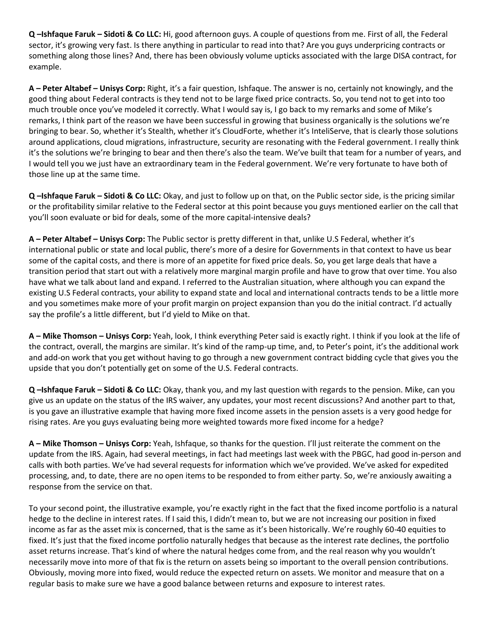**Q –Ishfaque Faruk – Sidoti & Co LLC:** Hi, good afternoon guys. A couple of questions from me. First of all, the Federal sector, it's growing very fast. Is there anything in particular to read into that? Are you guys underpricing contracts or something along those lines? And, there has been obviously volume upticks associated with the large DISA contract, for example.

**A – Peter Altabef – Unisys Corp:** Right, it's a fair question, Ishfaque. The answer is no, certainly not knowingly, and the good thing about Federal contracts is they tend not to be large fixed price contracts. So, you tend not to get into too much trouble once you've modeled it correctly. What I would say is, I go back to my remarks and some of Mike's remarks, I think part of the reason we have been successful in growing that business organically is the solutions we're bringing to bear. So, whether it's Stealth, whether it's CloudForte, whether it's InteliServe, that is clearly those solutions around applications, cloud migrations, infrastructure, security are resonating with the Federal government. I really think it's the solutions we're bringing to bear and then there's also the team. We've built that team for a number of years, and I would tell you we just have an extraordinary team in the Federal government. We're very fortunate to have both of those line up at the same time.

**Q –Ishfaque Faruk – Sidoti & Co LLC:** Okay, and just to follow up on that, on the Public sector side, is the pricing similar or the profitability similar relative to the Federal sector at this point because you guys mentioned earlier on the call that you'll soon evaluate or bid for deals, some of the more capital-intensive deals?

**A – Peter Altabef – Unisys Corp:** The Public sector is pretty different in that, unlike U.S Federal, whether it's international public or state and local public, there's more of a desire for Governments in that context to have us bear some of the capital costs, and there is more of an appetite for fixed price deals. So, you get large deals that have a transition period that start out with a relatively more marginal margin profile and have to grow that over time. You also have what we talk about land and expand. I referred to the Australian situation, where although you can expand the existing U.S Federal contracts, your ability to expand state and local and international contracts tends to be a little more and you sometimes make more of your profit margin on project expansion than you do the initial contract. I'd actually say the profile's a little different, but I'd yield to Mike on that.

**A – Mike Thomson – Unisys Corp:** Yeah, look, I think everything Peter said is exactly right. I think if you look at the life of the contract, overall, the margins are similar. It's kind of the ramp-up time, and, to Peter's point, it's the additional work and add-on work that you get without having to go through a new government contract bidding cycle that gives you the upside that you don't potentially get on some of the U.S. Federal contracts.

**Q –Ishfaque Faruk – Sidoti & Co LLC:** Okay, thank you, and my last question with regards to the pension. Mike, can you give us an update on the status of the IRS waiver, any updates, your most recent discussions? And another part to that, is you gave an illustrative example that having more fixed income assets in the pension assets is a very good hedge for rising rates. Are you guys evaluating being more weighted towards more fixed income for a hedge?

**A – Mike Thomson – Unisys Corp:** Yeah, Ishfaque, so thanks for the question. I'll just reiterate the comment on the update from the IRS. Again, had several meetings, in fact had meetings last week with the PBGC, had good in-person and calls with both parties. We've had several requests for information which we've provided. We've asked for expedited processing, and, to date, there are no open items to be responded to from either party. So, we're anxiously awaiting a response from the service on that.

To your second point, the illustrative example, you're exactly right in the fact that the fixed income portfolio is a natural hedge to the decline in interest rates. If I said this, I didn't mean to, but we are not increasing our position in fixed income as far as the asset mix is concerned, that is the same as it's been historically. We're roughly 60-40 equities to fixed. It's just that the fixed income portfolio naturally hedges that because as the interest rate declines, the portfolio asset returns increase. That's kind of where the natural hedges come from, and the real reason why you wouldn't necessarily move into more of that fix is the return on assets being so important to the overall pension contributions. Obviously, moving more into fixed, would reduce the expected return on assets. We monitor and measure that on a regular basis to make sure we have a good balance between returns and exposure to interest rates.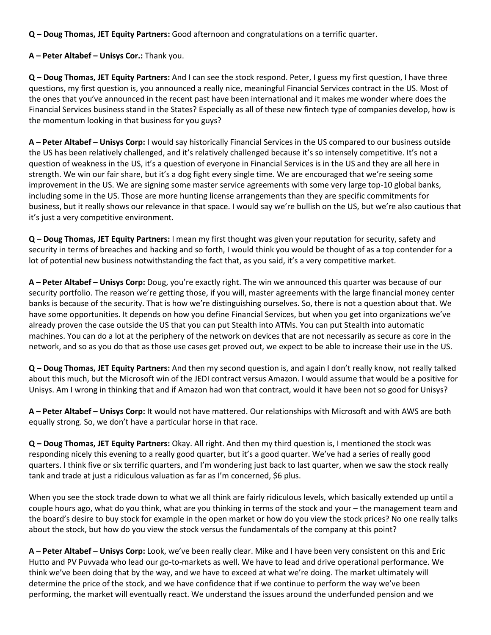**Q – Doug Thomas, JET Equity Partners:** Good afternoon and congratulations on a terrific quarter.

**A – Peter Altabef – Unisys Cor.:** Thank you.

**Q – Doug Thomas, JET Equity Partners:** And I can see the stock respond. Peter, I guess my first question, I have three questions, my first question is, you announced a really nice, meaningful Financial Services contract in the US. Most of the ones that you've announced in the recent past have been international and it makes me wonder where does the Financial Services business stand in the States? Especially as all of these new fintech type of companies develop, how is the momentum looking in that business for you guys?

**A – Peter Altabef – Unisys Corp:** I would say historically Financial Services in the US compared to our business outside the US has been relatively challenged, and it's relatively challenged because it's so intensely competitive. It's not a question of weakness in the US, it's a question of everyone in Financial Services is in the US and they are all here in strength. We win our fair share, but it's a dog fight every single time. We are encouraged that we're seeing some improvement in the US. We are signing some master service agreements with some very large top-10 global banks, including some in the US. Those are more hunting license arrangements than they are specific commitments for business, but it really shows our relevance in that space. I would say we're bullish on the US, but we're also cautious that it's just a very competitive environment.

**Q – Doug Thomas, JET Equity Partners:** I mean my first thought was given your reputation for security, safety and security in terms of breaches and hacking and so forth, I would think you would be thought of as a top contender for a lot of potential new business notwithstanding the fact that, as you said, it's a very competitive market.

**A – Peter Altabef – Unisys Corp:** Doug, you're exactly right. The win we announced this quarter was because of our security portfolio. The reason we're getting those, if you will, master agreements with the large financial money center banks is because of the security. That is how we're distinguishing ourselves. So, there is not a question about that. We have some opportunities. It depends on how you define Financial Services, but when you get into organizations we've already proven the case outside the US that you can put Stealth into ATMs. You can put Stealth into automatic machines. You can do a lot at the periphery of the network on devices that are not necessarily as secure as core in the network, and so as you do that as those use cases get proved out, we expect to be able to increase their use in the US.

**Q – Doug Thomas, JET Equity Partners:** And then my second question is, and again I don't really know, not really talked about this much, but the Microsoft win of the JEDI contract versus Amazon. I would assume that would be a positive for Unisys. Am I wrong in thinking that and if Amazon had won that contract, would it have been not so good for Unisys?

**A – Peter Altabef – Unisys Corp:** It would not have mattered. Our relationships with Microsoft and with AWS are both equally strong. So, we don't have a particular horse in that race.

**Q – Doug Thomas, JET Equity Partners:** Okay. All right. And then my third question is, I mentioned the stock was responding nicely this evening to a really good quarter, but it's a good quarter. We've had a series of really good quarters. I think five or six terrific quarters, and I'm wondering just back to last quarter, when we saw the stock really tank and trade at just a ridiculous valuation as far as I'm concerned, \$6 plus.

When you see the stock trade down to what we all think are fairly ridiculous levels, which basically extended up until a couple hours ago, what do you think, what are you thinking in terms of the stock and your – the management team and the board's desire to buy stock for example in the open market or how do you view the stock prices? No one really talks about the stock, but how do you view the stock versus the fundamentals of the company at this point?

**A – Peter Altabef – Unisys Corp:** Look, we've been really clear. Mike and I have been very consistent on this and Eric Hutto and PV Puvvada who lead our go-to-markets as well. We have to lead and drive operational performance. We think we've been doing that by the way, and we have to exceed at what we're doing. The market ultimately will determine the price of the stock, and we have confidence that if we continue to perform the way we've been performing, the market will eventually react. We understand the issues around the underfunded pension and we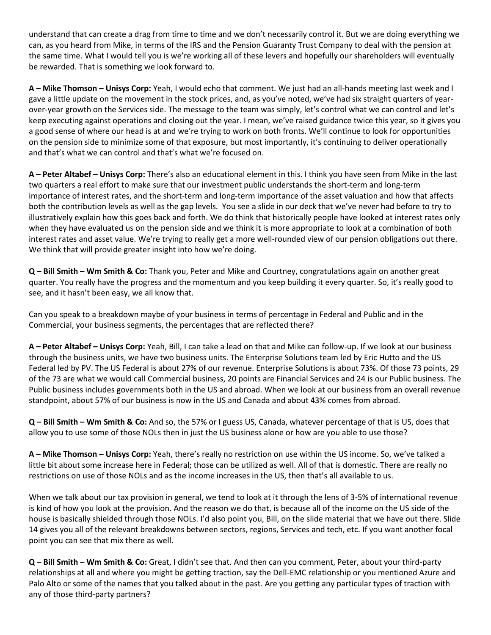understand that can create a drag from time to time and we don't necessarily control it. But we are doing everything we can, as you heard from Mike, in terms of the IRS and the Pension Guaranty Trust Company to deal with the pension at the same time. What I would tell you is we're working all of these levers and hopefully our shareholders will eventually be rewarded. That is something we look forward to.

**A – Mike Thomson – Unisys Corp:** Yeah, I would echo that comment. We just had an all-hands meeting last week and I gave a little update on the movement in the stock prices, and, as you've noted, we've had six straight quarters of yearover-year growth on the Services side. The message to the team was simply, let's control what we can control and let's keep executing against operations and closing out the year. I mean, we've raised guidance twice this year, so it gives you a good sense of where our head is at and we're trying to work on both fronts. We'll continue to look for opportunities on the pension side to minimize some of that exposure, but most importantly, it's continuing to deliver operationally and that's what we can control and that's what we're focused on.

**A – Peter Altabef – Unisys Corp:** There's also an educational element in this. I think you have seen from Mike in the last two quarters a real effort to make sure that our investment public understands the short-term and long-term importance of interest rates, and the short-term and long-term importance of the asset valuation and how that affects both the contribution levels as well as the gap levels. You see a slide in our deck that we've never had before to try to illustratively explain how this goes back and forth. We do think that historically people have looked at interest rates only when they have evaluated us on the pension side and we think it is more appropriate to look at a combination of both interest rates and asset value. We're trying to really get a more well-rounded view of our pension obligations out there. We think that will provide greater insight into how we're doing.

**Q – Bill Smith – Wm Smith & Co:** Thank you, Peter and Mike and Courtney, congratulations again on another great quarter. You really have the progress and the momentum and you keep building it every quarter. So, it's really good to see, and it hasn't been easy, we all know that.

Can you speak to a breakdown maybe of your business in terms of percentage in Federal and Public and in the Commercial, your business segments, the percentages that are reflected there?

**A – Peter Altabef – Unisys Corp:** Yeah, Bill, I can take a lead on that and Mike can follow-up. If we look at our business through the business units, we have two business units. The Enterprise Solutions team led by Eric Hutto and the US Federal led by PV. The US Federal is about 27% of our revenue. Enterprise Solutions is about 73%. Of those 73 points, 29 of the 73 are what we would call Commercial business, 20 points are Financial Services and 24 is our Public business. The Public business includes governments both in the US and abroad. When we look at our business from an overall revenue standpoint, about 57% of our business is now in the US and Canada and about 43% comes from abroad.

**Q – Bill Smith – Wm Smith & Co:** And so, the 57% or I guess US, Canada, whatever percentage of that is US, does that allow you to use some of those NOLs then in just the US business alone or how are you able to use those?

**A – Mike Thomson – Unisys Corp:** Yeah, there's really no restriction on use within the US income. So, we've talked a little bit about some increase here in Federal; those can be utilized as well. All of that is domestic. There are really no restrictions on use of those NOLs and as the income increases in the US, then that's all available to us.

When we talk about our tax provision in general, we tend to look at it through the lens of 3-5% of international revenue is kind of how you look at the provision. And the reason we do that, is because all of the income on the US side of the house is basically shielded through those NOLs. I'd also point you, Bill, on the slide material that we have out there. Slide 14 gives you all of the relevant breakdowns between sectors, regions, Services and tech, etc. If you want another focal point you can see that mix there as well.

**Q – Bill Smith – Wm Smith & Co:** Great, I didn't see that. And then can you comment, Peter, about your third-party relationships at all and where you might be getting traction, say the Dell-EMC relationship or you mentioned Azure and Palo Alto or some of the names that you talked about in the past. Are you getting any particular types of traction with any of those third-party partners?